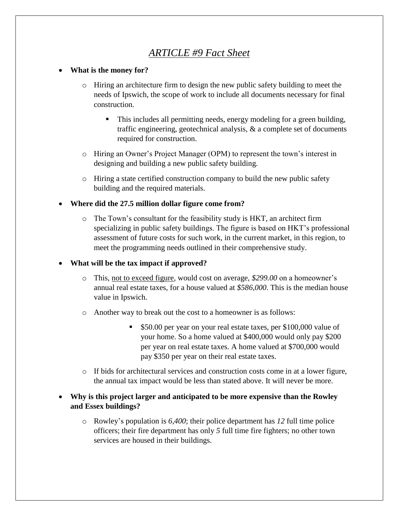# *ARTICLE #9 Fact Sheet*

#### **What is the money for?**

- o Hiring an architecture firm to design the new public safety building to meet the needs of Ipswich, the scope of work to include all documents necessary for final construction.
	- This includes all permitting needs, energy modeling for a green building, traffic engineering, geotechnical analysis, & a complete set of documents required for construction.
- o Hiring an Owner's Project Manager (OPM) to represent the town's interest in designing and building a new public safety building.
- o Hiring a state certified construction company to build the new public safety building and the required materials.

#### **Where did the 27.5 million dollar figure come from?**

o The Town's consultant for the feasibility study is HKT, an architect firm specializing in public safety buildings. The figure is based on HKT's professional assessment of future costs for such work, in the current market, in this region, to meet the programming needs outlined in their comprehensive study.

#### **What will be the tax impact if approved?**

- o This, not to exceed figure, would cost on average, *\$299.00* on a homeowner's annual real estate taxes, for a house valued at *\$586,000*. This is the median house value in Ipswich.
- o Another way to break out the cost to a homeowner is as follows:
	- **\$50.00 per year on your real estate taxes, per \$100,000 value of** your home. So a home valued at \$400,000 would only pay \$200 per year on real estate taxes. A home valued at \$700,000 would pay \$350 per year on their real estate taxes.
- o If bids for architectural services and construction costs come in at a lower figure, the annual tax impact would be less than stated above. It will never be more.
- **Why is this project larger and anticipated to be more expensive than the Rowley and Essex buildings?**
	- o Rowley's population is *6,400*; their police department has *12* full time police officers; their fire department has only *5* full time fire fighters; no other town services are housed in their buildings.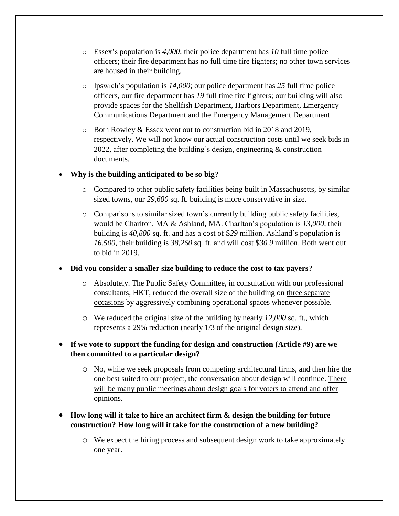- o Essex's population is *4,000*; their police department has *10* full time police officers; their fire department has no full time fire fighters; no other town services are housed in their building.
- o Ipswich's population is *14,000*; our police department has *25* full time police officers, our fire department has *19* full time fire fighters; our building will also provide spaces for the Shellfish Department, Harbors Department, Emergency Communications Department and the Emergency Management Department.
- o Both Rowley & Essex went out to construction bid in 2018 and 2019, respectively. We will not know our actual construction costs until we seek bids in 2022, after completing the building's design, engineering & construction documents.

#### **Why is the building anticipated to be so big?**

- o Compared to other public safety facilities being built in Massachusetts, by similar sized towns, our *29,600* sq. ft. building is more conservative in size.
- o Comparisons to similar sized town's currently building public safety facilities, would be Charlton, MA & Ashland, MA. Charlton's population is *13,000*, their building is *40,800* sq. ft. and has a cost of \$*29* million. Ashland's population is *16,500*, their building is *38,260* sq. ft. and will cost \$*30.9* million. Both went out to bid in 2019.

### **Did you consider a smaller size building to reduce the cost to tax payers?**

- o Absolutely. The Public Safety Committee, in consultation with our professional consultants, HKT, reduced the overall size of the building on three separate occasions by aggressively combining operational spaces whenever possible.
- o We reduced the original size of the building by nearly *12,000* sq. ft., which represents a 29% reduction (nearly 1/3 of the original design size).
- **If we vote to support the funding for design and construction (Article #9) are we then committed to a particular design?**
	- o No, while we seek proposals from competing architectural firms, and then hire the one best suited to our project, the conversation about design will continue. There will be many public meetings about design goals for voters to attend and offer opinions.

## **How long will it take to hire an architect firm & design the building for future construction? How long will it take for the construction of a new building?**

o We expect the hiring process and subsequent design work to take approximately one year.